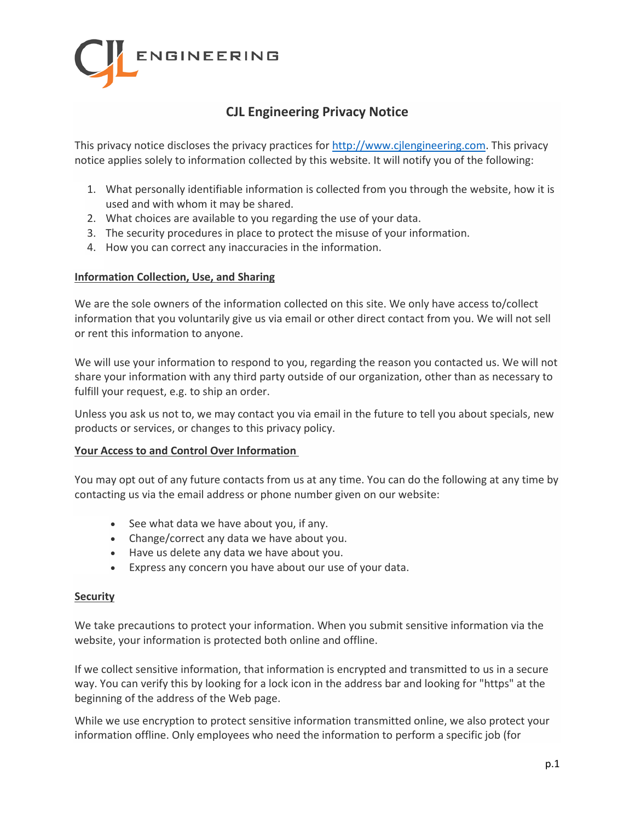

# **CJL Engineering Privacy Notice**

This privacy notice discloses the privacy practices for [http://www.cjlengineering.com.](http://www.cjlengineering.com/) This privacy notice applies solely to information collected by this website. It will notify you of the following:

- 1. What personally identifiable information is collected from you through the website, how it is used and with whom it may be shared.
- 2. What choices are available to you regarding the use of your data.
- 3. The security procedures in place to protect the misuse of your information.
- 4. How you can correct any inaccuracies in the information.

#### **Information Collection, Use, and Sharing**

We are the sole owners of the information collected on this site. We only have access to/collect information that you voluntarily give us via email or other direct contact from you. We will not sell or rent this information to anyone.

We will use your information to respond to you, regarding the reason you contacted us. We will not share your information with any third party outside of our organization, other than as necessary to fulfill your request, e.g. to ship an order.

Unless you ask us not to, we may contact you via email in the future to tell you about specials, new products or services, or changes to this privacy policy.

### **Your Access to and Control Over Information**

You may opt out of any future contacts from us at any time. You can do the following at any time by contacting us via the email address or phone number given on our website:

- See what data we have about you, if any.
- Change/correct any data we have about you.
- Have us delete any data we have about you.
- Express any concern you have about our use of your data.

### **Security**

We take precautions to protect your information. When you submit sensitive information via the website, your information is protected both online and offline.

If we collect sensitive information, that information is encrypted and transmitted to us in a secure way. You can verify this by looking for a lock icon in the address bar and looking for "https" at the beginning of the address of the Web page.

While we use encryption to protect sensitive information transmitted online, we also protect your information offline. Only employees who need the information to perform a specific job (for